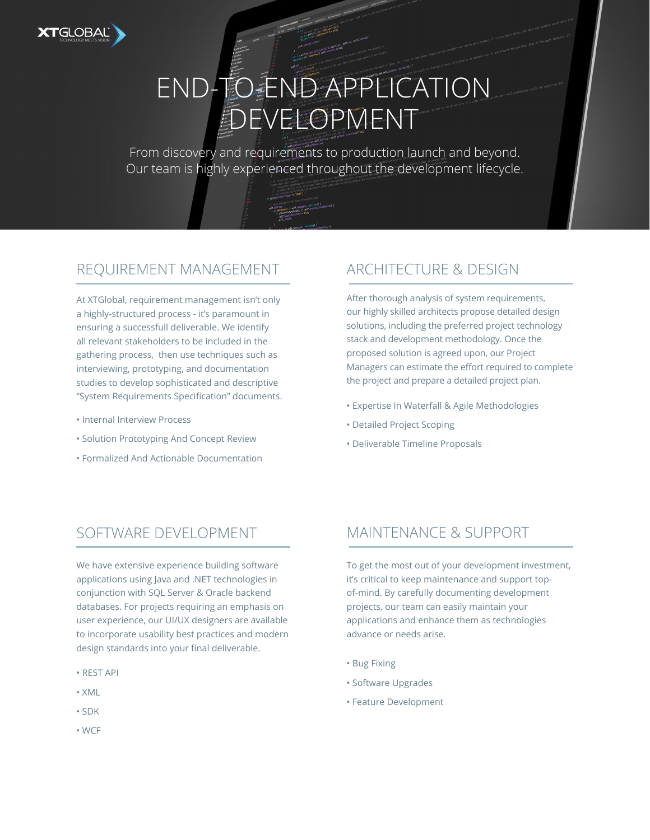

# END-TO-END APPLICATION *EDEVELOPMENT*

From discovery and requirements to production launch and beyond. Our team is highly experienced throughout the development lifecycle.

#### REQUIREMENT MANAGEMENT

At XTGlobal, requirement management isn't only a highly-structured process - it's paramount in ensuring a successfull deliverable. We identify all relevant stakeholders to be included in the gathering process, then use techniques such as interviewing, prototyping, and documentation studies to develop sophisticated and descriptive "System Requirements Specification" documents.

- Internal Interview Process
- Solution Prototyping And Concept Review
- Formalized And Actionable Documentation

#### ARCHITECTURE & DESIGN

After thorough analysis of system requirements, our highly skilled architects propose detailed design solutions, including the preferred project technology stack and development methodology. Once the proposed solution is agreed upon, our Project Managers can estimate the effort required to complete the project and prepare a detailed project plan.

- Expertise In Waterfall & Agile Methodologies
- Detailed Project Scoping
- Deliverable Timeline Proposals

#### SOFTWARE DEVELOPMENT

We have extensive experience building software applications using Java and .NET technologies in conjunction with SQL Server & Oracle backend databases. For projects requiring an emphasis on user experience, our UI/UX designers are available to incorporate usability best practices and modern design standards into your final deliverable.

- REST API
- XML
- SDK
- WCF

#### MAINTENANCE & SUPPORT

To get the most out of your development investment, it's critical to keep maintenance and support topof-mind. By carefully documenting development projects, our team can easily maintain your applications and enhance them as technologies advance or needs arise.

- Bug Fixing
- Software Upgrades
- Feature Development